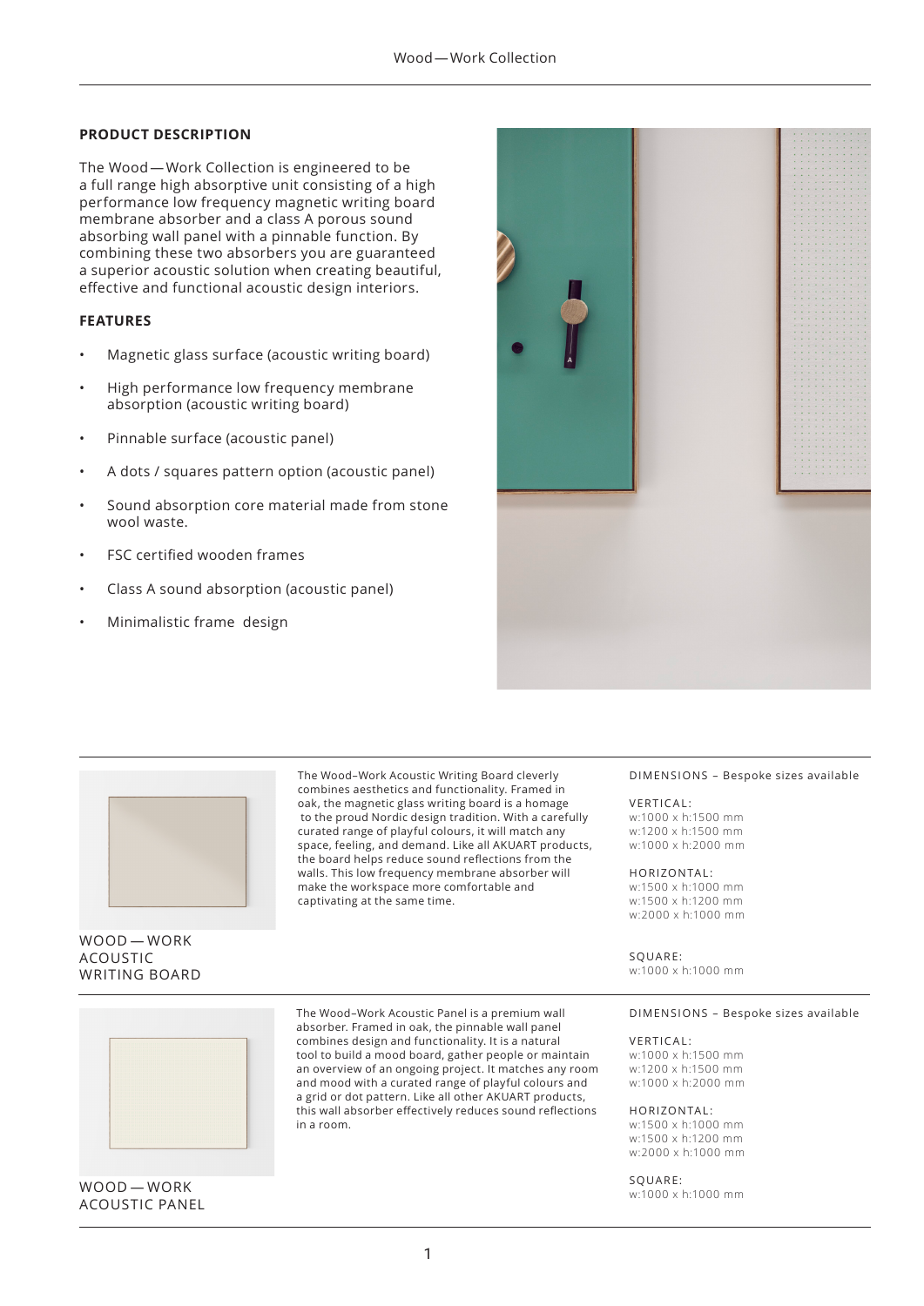## **PRODUCT DESCRIPTION**

The Wood — Work Collection is engineered to be a full range high absorptive unit consisting of a high performance low frequency magnetic writing board membrane absorber and a class A porous sound absorbing wall panel with a pinnable function. By combining these two absorbers you are guaranteed a superior acoustic solution when creating beautiful, effective and functional acoustic design interiors.

## **FEATURES**

- Magnetic glass surface (acoustic writing board)
- High performance low frequency membrane absorption (acoustic writing board)
- Pinnable surface (acoustic panel)
- A dots / squares pattern option (acoustic panel)
- Sound absorption core material made from stone wool waste.
- FSC certified wooden frames
- Class A sound absorption (acoustic panel)
- Minimalistic frame design





## WOOD — WORK ACOUSTIC WRITING BOARD

The Wood–Work Acoustic Writing Board cleverly combines aesthetics and functionality. Framed in oak, the magnetic glass writing board is a homage to the proud Nordic design tradition. With a carefully curated range of playful colours, it will match any space, feeling, and demand. Like all AKUART products, the board helps reduce sound reflections from the walls. This low frequency membrane absorber will make the workspace more comfortable and captivating at the same time.

The Wood–Work Acoustic Panel is a premium wall absorber. Framed in oak, the pinnable wall panel combines design and functionality. It is a natural tool to build a mood board, gather people or maintain an overview of an ongoing project. It matches any room and mood with a curated range of playful colours and a grid or dot pattern. Like all other AKUART products, this wall absorber effectively reduces sound reflections

in a room.

#### DIMENSIONS – Bespoke sizes available

#### VERTICAL:

w:1000 x h:1500 mm w:1200 x h:1500 mm w:1000 x h:2000 mm

### HORIZONTAL :

w:1500 x h:1000 mm w:1500 x h:1200 mm w:2000 x h:1000 mm

SQUARE:

w:1000 x h:1000 mm

#### DIMENSIONS – Bespoke sizes available

#### VERTICAL:

w:1000 x h:1500 mm w:1200 x h:1500 mm w:1000 x h:2000 mm

#### HORIZONTAL:

w:1500 x h:1000 mm w:1500 x h:1200 mm w:2000 x h:1000 mm

#### SQUARE:

w:1000 x h:1000 mm



WOOD — WORK ACOUSTIC PANEL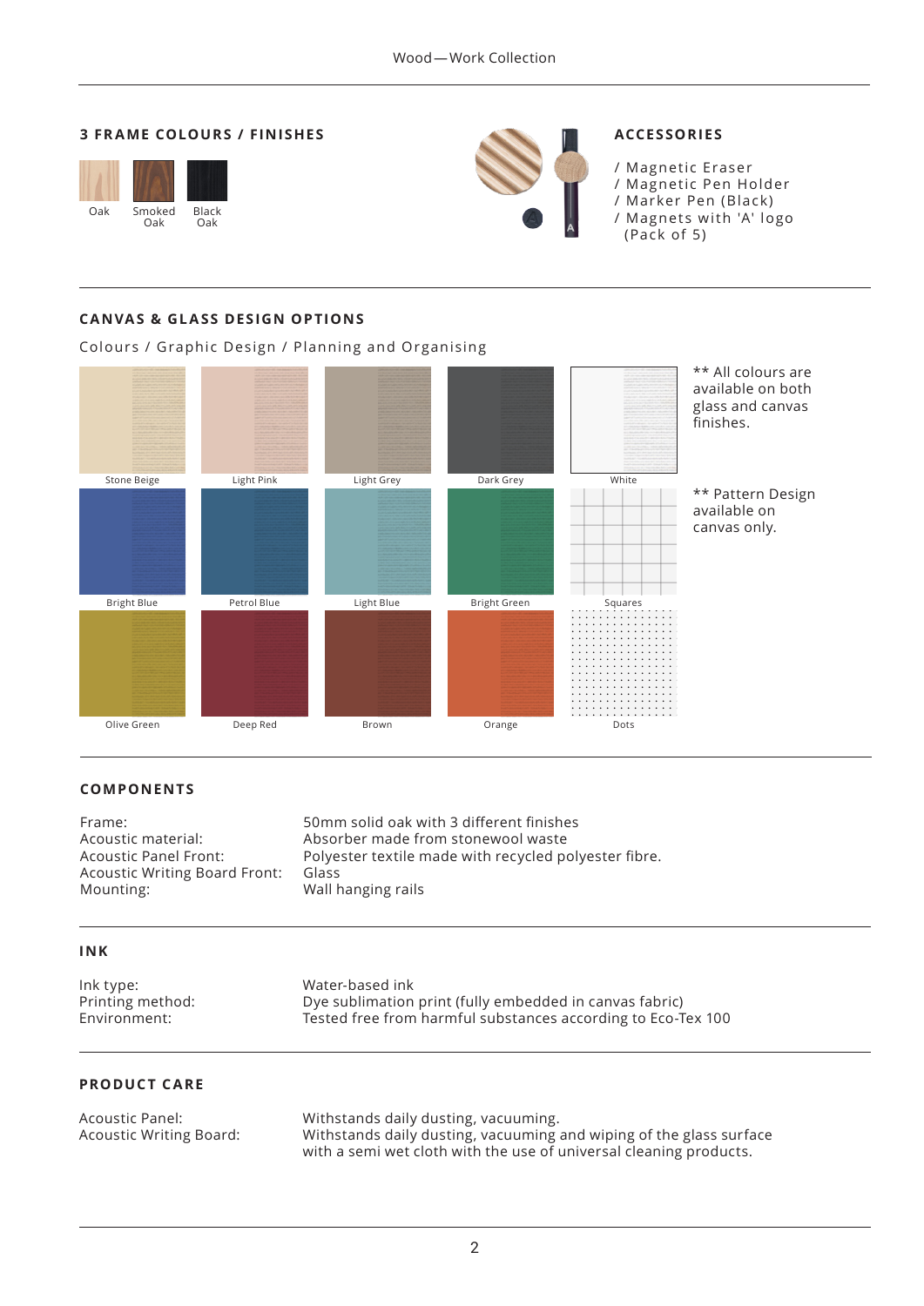## **3 FRAME COLOURS / FINISHES**





# **ACCESSORIES**

/ Magnetic Eraser / Magnetic Pen Holder / Marker Pen (Black) / Magnets with 'A' logo (Pack of 5)

# **CANVAS & GLASS DESIGN OPTIONS**

Colours / Graphic Design / Planning and Organising



## **COMPONENTS**

Acoustic Writing Board Front: Glass

Frame: 50mm solid oak with 3 different finishes Acoustic material: Absorber made from stonewool waste Acoustic Panel Front: Polyester textile made with recycled polyester fibre. Wall hanging rails

## **INK**

Ink type: Water-based ink Printing method: Dye sublimation print (fully embedded in canvas fabric) Environment: Tested free from harmful substances according to Eco-Tex 100

## **PRODUCT CARE**

Acoustic Panel: Withstands daily dusting, vacuuming. Acoustic Writing Board: Withstands daily dusting, vacuuming and wiping of the glass surface with a semi wet cloth with the use of universal cleaning products.